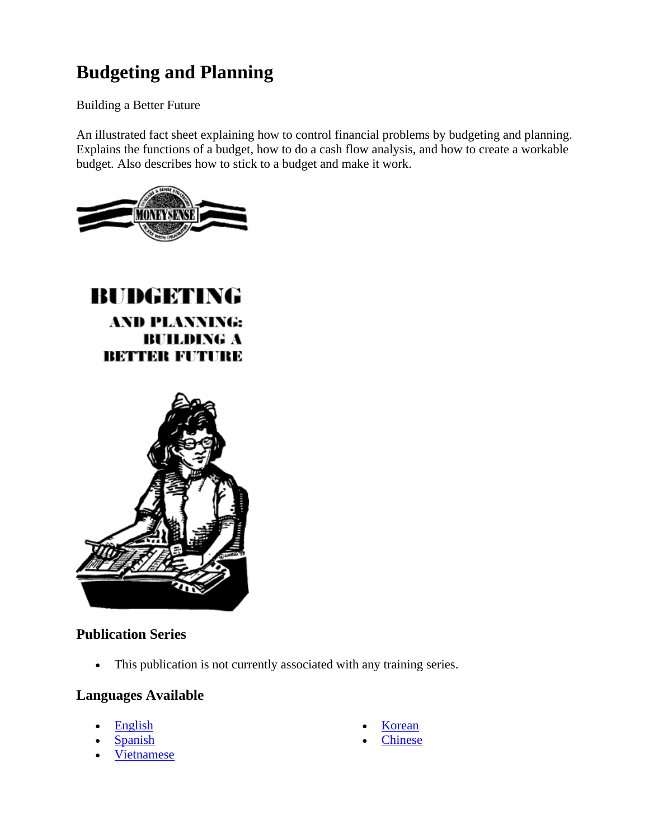# **Budgeting and Planning**

Building a Better Future

An illustrated fact sheet explaining how to control financial problems by budgeting and planning. Explains the functions of a budget, how to do a cash flow analysis, and how to create a workable budget. Also describes how to stick to a budget and make it work.



# **BUDGETING AND PLANNING: BUILDING A** BETTER FUTURE



## **Publication Series**

• This publication is not currently associated with any training series.

## **Languages Available**

- English
- **Spanish**
- Vietnamese
- **Korean**
- **Chinese**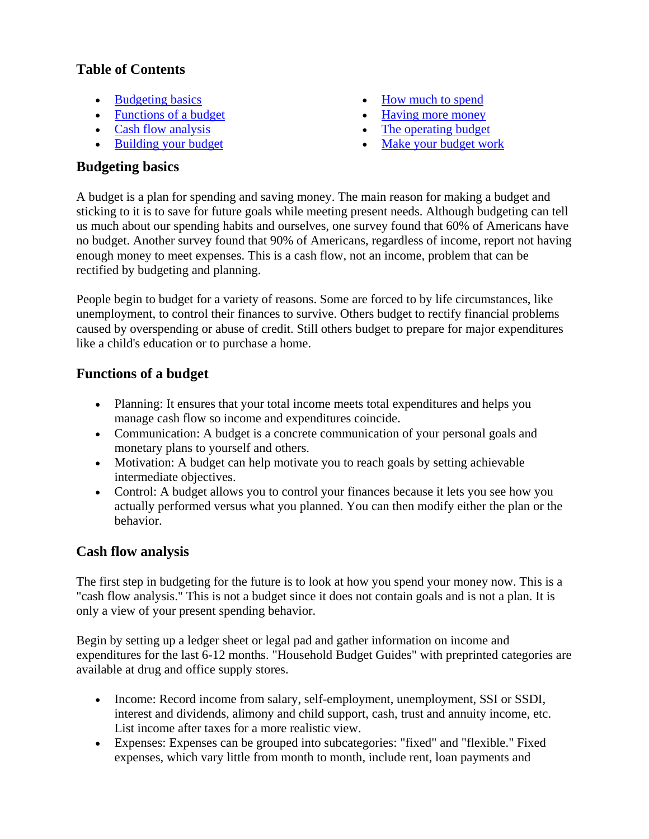#### **Table of Contents**

- Budgeting basics
- Functions of a budget
- Cash flow analysis
- Building your budget
- How much to spend
- Having more money
- The operating budget
- Make your budget work

#### **Budgeting basics**

A budget is a plan for spending and saving money. The main reason for making a budget and sticking to it is to save for future goals while meeting present needs. Although budgeting can tell us much about our spending habits and ourselves, one survey found that 60% of Americans have no budget. Another survey found that 90% of Americans, regardless of income, report not having enough money to meet expenses. This is a cash flow, not an income, problem that can be rectified by budgeting and planning.

People begin to budget for a variety of reasons. Some are forced to by life circumstances, like unemployment, to control their finances to survive. Others budget to rectify financial problems caused by overspending or abuse of credit. Still others budget to prepare for major expenditures like a child's education or to purchase a home.

#### **Functions of a budget**

- Planning: It ensures that your total income meets total expenditures and helps you manage cash flow so income and expenditures coincide.
- Communication: A budget is a concrete communication of your personal goals and monetary plans to yourself and others.
- Motivation: A budget can help motivate you to reach goals by setting achievable intermediate objectives.
- Control: A budget allows you to control your finances because it lets you see how you actually performed versus what you planned. You can then modify either the plan or the behavior.

#### **Cash flow analysis**

The first step in budgeting for the future is to look at how you spend your money now. This is a "cash flow analysis." This is not a budget since it does not contain goals and is not a plan. It is only a view of your present spending behavior.

Begin by setting up a ledger sheet or legal pad and gather information on income and expenditures for the last 6-12 months. "Household Budget Guides" with preprinted categories are available at drug and office supply stores.

- Income: Record income from salary, self-employment, unemployment, SSI or SSDI, interest and dividends, alimony and child support, cash, trust and annuity income, etc. List income after taxes for a more realistic view.
- Expenses: Expenses can be grouped into subcategories: "fixed" and "flexible." Fixed expenses, which vary little from month to month, include rent, loan payments and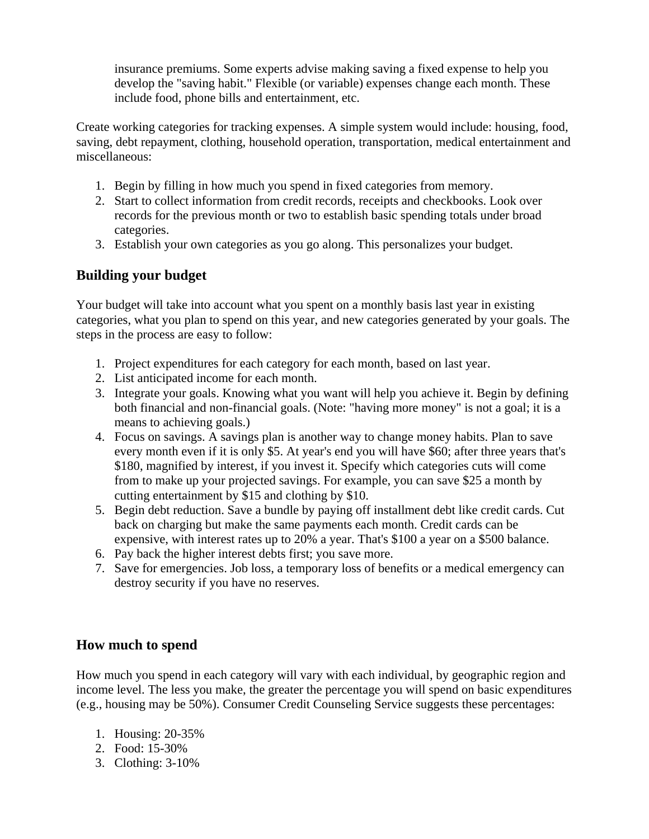insurance premiums. Some experts advise making saving a fixed expense to help you develop the "saving habit." Flexible (or variable) expenses change each month. These include food, phone bills and entertainment, etc.

Create working categories for tracking expenses. A simple system would include: housing, food, saving, debt repayment, clothing, household operation, transportation, medical entertainment and miscellaneous:

- 1. Begin by filling in how much you spend in fixed categories from memory.
- 2. Start to collect information from credit records, receipts and checkbooks. Look over records for the previous month or two to establish basic spending totals under broad categories.
- 3. Establish your own categories as you go along. This personalizes your budget.

#### **Building your budget**

Your budget will take into account what you spent on a monthly basis last year in existing categories, what you plan to spend on this year, and new categories generated by your goals. The steps in the process are easy to follow:

- 1. Project expenditures for each category for each month, based on last year.
- 2. List anticipated income for each month.
- 3. Integrate your goals. Knowing what you want will help you achieve it. Begin by defining both financial and non-financial goals. (Note: "having more money" is not a goal; it is a means to achieving goals.)
- 4. Focus on savings. A savings plan is another way to change money habits. Plan to save every month even if it is only \$5. At year's end you will have \$60; after three years that's \$180, magnified by interest, if you invest it. Specify which categories cuts will come from to make up your projected savings. For example, you can save \$25 a month by cutting entertainment by \$15 and clothing by \$10.
- 5. Begin debt reduction. Save a bundle by paying off installment debt like credit cards. Cut back on charging but make the same payments each month. Credit cards can be expensive, with interest rates up to 20% a year. That's \$100 a year on a \$500 balance.
- 6. Pay back the higher interest debts first; you save more.
- 7. Save for emergencies. Job loss, a temporary loss of benefits or a medical emergency can destroy security if you have no reserves.

#### **How much to spend**

How much you spend in each category will vary with each individual, by geographic region and income level. The less you make, the greater the percentage you will spend on basic expenditures (e.g., housing may be 50%). Consumer Credit Counseling Service suggests these percentages:

- 1. Housing: 20-35%
- 2. Food: 15-30%
- 3. Clothing: 3-10%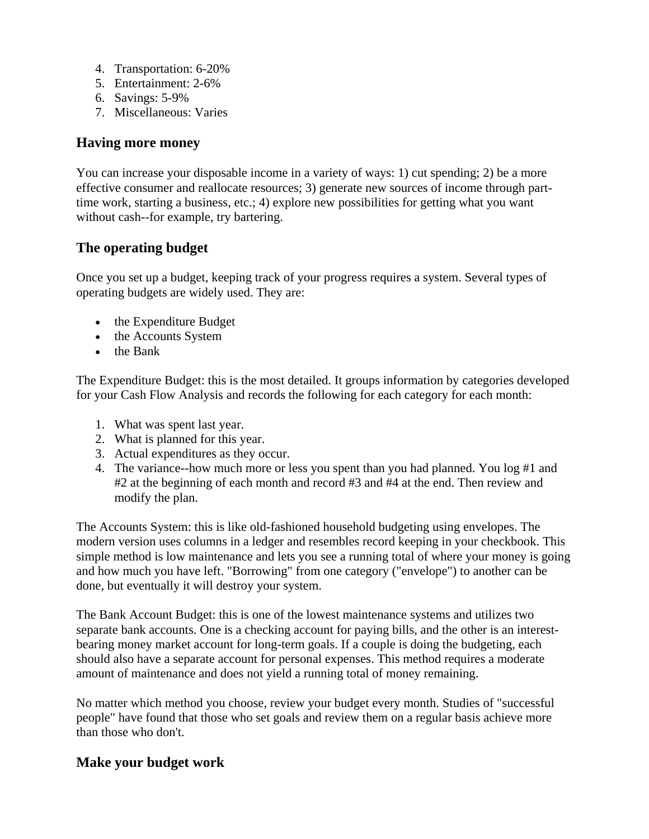- 4. Transportation: 6-20%
- 5. Entertainment: 2-6%
- 6. Savings: 5-9%
- 7. Miscellaneous: Varies

#### **Having more money**

You can increase your disposable income in a variety of ways: 1) cut spending; 2) be a more effective consumer and reallocate resources; 3) generate new sources of income through parttime work, starting a business, etc.; 4) explore new possibilities for getting what you want without cash--for example, try bartering.

#### **The operating budget**

Once you set up a budget, keeping track of your progress requires a system. Several types of operating budgets are widely used. They are:

- the Expenditure Budget
- the Accounts System
- the Bank

The Expenditure Budget: this is the most detailed. It groups information by categories developed for your Cash Flow Analysis and records the following for each category for each month:

- 1. What was spent last year.
- 2. What is planned for this year.
- 3. Actual expenditures as they occur.
- 4. The variance--how much more or less you spent than you had planned. You log #1 and #2 at the beginning of each month and record #3 and #4 at the end. Then review and modify the plan.

The Accounts System: this is like old-fashioned household budgeting using envelopes. The modern version uses columns in a ledger and resembles record keeping in your checkbook. This simple method is low maintenance and lets you see a running total of where your money is going and how much you have left. "Borrowing" from one category ("envelope") to another can be done, but eventually it will destroy your system.

The Bank Account Budget: this is one of the lowest maintenance systems and utilizes two separate bank accounts. One is a checking account for paying bills, and the other is an interestbearing money market account for long-term goals. If a couple is doing the budgeting, each should also have a separate account for personal expenses. This method requires a moderate amount of maintenance and does not yield a running total of money remaining.

No matter which method you choose, review your budget every month. Studies of "successful people" have found that those who set goals and review them on a regular basis achieve more than those who don't.

#### **Make your budget work**